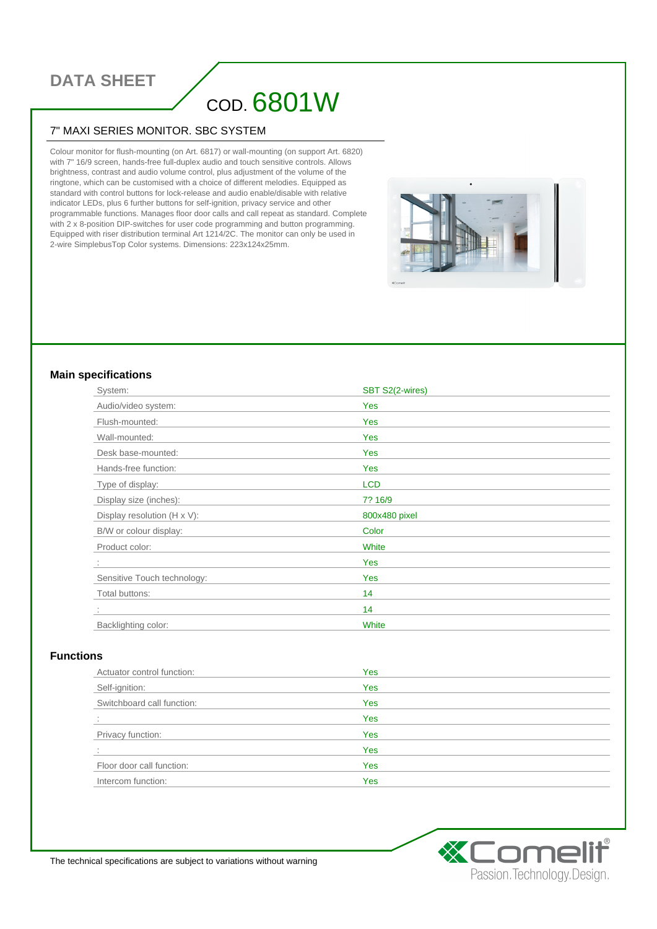# **DATA SHEET**

# COD. 6801W

#### 7" MAXI SERIES MONITOR. SBC SYSTEM

Colour monitor for flush-mounting (on Art. 6817) or wall-mounting (on support Art. 6820) with 7" 16/9 screen, hands-free full-duplex audio and touch sensitive controls. Allows brightness, contrast and audio volume control, plus adjustment of the volume of the ringtone, which can be customised with a choice of different melodies. Equipped as standard with control buttons for lock-release and audio enable/disable with relative indicator LEDs, plus 6 further buttons for self-ignition, privacy service and other programmable functions. Manages floor door calls and call repeat as standard. Complete with 2 x 8-position DIP-switches for user code programming and button programming. Equipped with riser distribution terminal Art 1214/2C. The monitor can only be used in 2-wire SimplebusTop Color systems. Dimensions: 223x124x25mm.

#### **Main specifications**

| System:                             | SBT S2(2-wires) |  |
|-------------------------------------|-----------------|--|
| Audio/video system:                 | Yes             |  |
| Flush-mounted:                      | Yes             |  |
| Wall-mounted:                       | Yes             |  |
| Desk base-mounted:                  | Yes             |  |
| Hands-free function:                | Yes             |  |
| Type of display:                    | <b>LCD</b>      |  |
| Display size (inches):              | 7? 16/9         |  |
| Display resolution $(H \times V)$ : | 800x480 pixel   |  |
| B/W or colour display:              | Color           |  |
| Product color:                      | White           |  |
|                                     | Yes             |  |
| Sensitive Touch technology:         | Yes             |  |
| Total buttons:                      | 14              |  |
|                                     | 14              |  |
| Backlighting color:                 | White           |  |

#### **Functions**

| Actuator control function: | Yes        |
|----------------------------|------------|
| Self-ignition:             | Yes        |
| Switchboard call function: | Yes        |
|                            | Yes        |
| Privacy function:          | Yes        |
|                            | Yes        |
| Floor door call function:  | <b>Yes</b> |
| Intercom function:         | Yes        |



The technical specifications are subject to variations without warning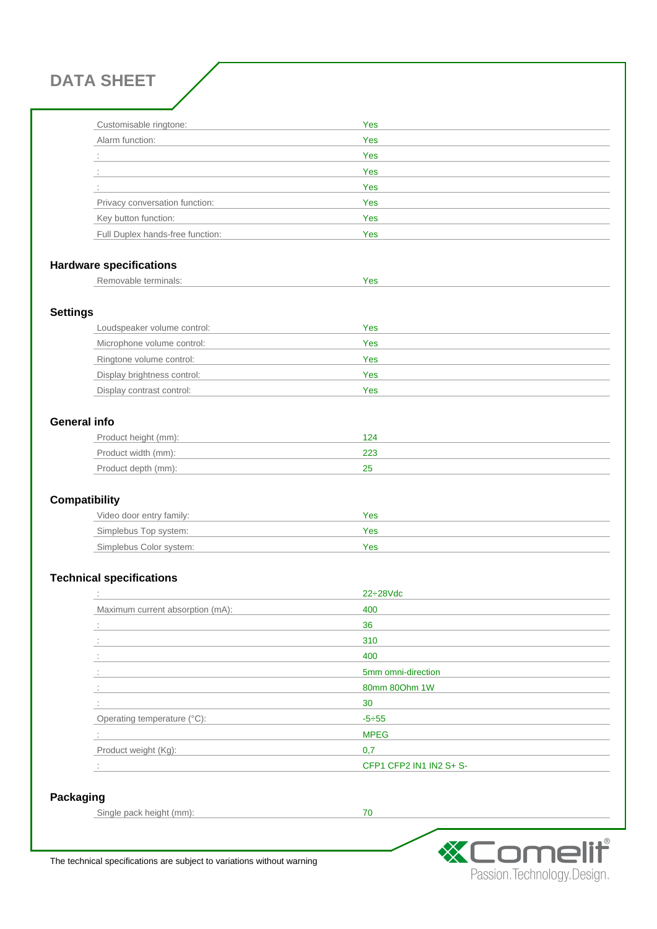**DATA SHEET**

| Customisable ringtone:           | Yes |
|----------------------------------|-----|
| Alarm function:                  | Yes |
|                                  | Yes |
|                                  | Yes |
|                                  | Yes |
| Privacy conversation function:   | Yes |
| Key button function:             | Yes |
| Full Duplex hands-free function: | Yes |

## **Hardware specifications**

| Removable terminals: |  |
|----------------------|--|
|                      |  |

### **Settings**

| Loudspeaker volume control: | Yes |
|-----------------------------|-----|
| Microphone volume control:  | Yes |
| Ringtone volume control:    | Yes |
| Display brightness control: | Yes |
| Display contrast control:   | Yes |

# **General info**

| Product height (mm): | 124 |
|----------------------|-----|
| Product width (mm):  | 223 |
| Product depth (mm):  |     |

### **Compatibility**

| Video door entry family: | Yes |
|--------------------------|-----|
| Simplebus Top system:    | Yes |
| Simplebus Color system:  | Yes |

## **Technical specifications**

|                                  | $22 \div 28$ Vdc        |
|----------------------------------|-------------------------|
| Maximum current absorption (mA): | 400                     |
|                                  | 36                      |
|                                  | 310                     |
|                                  | 400                     |
|                                  | 5mm omni-direction      |
|                                  | 80mm 800hm 1W           |
|                                  | 30                      |
| Operating temperature (°C):      | $-5 \div 55$            |
|                                  | <b>MPEG</b>             |
| Product weight (Kg):             | 0,7                     |
|                                  | CFP1 CFP2 IN1 IN2 S+ S- |

#### **Packaging**

Single pack height (mm): 70



The technical specifications are subject to variations without warning